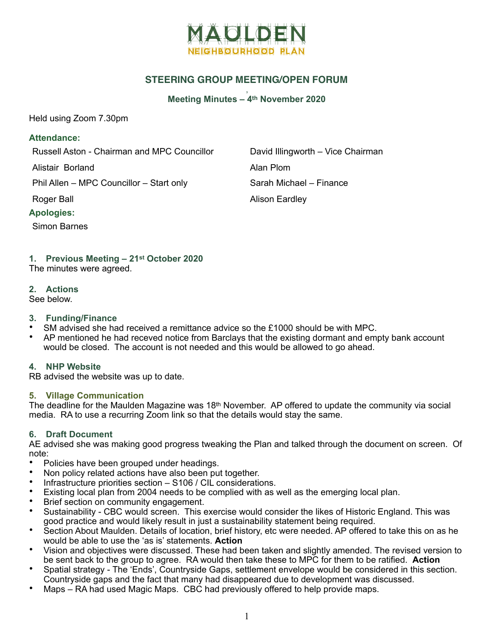

# **STEERING GROUP MEETING/OPEN FORUM**

#### , **Meeting Minutes – 4th November 2020**

Held using Zoom 7.30pm

#### **Attendance:**

Russell Aston - Chairman and MPC Councillor David Illingworth – Vice Chairman

Alistair Borland **Alistair Borland** 

Phil Allen – MPC Councillor – Start only Sarah Michael – Finance

#### **Apologies:**

Simon Barnes

Roger Ball **Alison Eardley** 

### **1. Previous Meeting – 21st October 2020**

The minutes were agreed.

#### **2. Actions**

See below.

#### **3. Funding/Finance**

- SM advised she had received a remittance advice so the £1000 should be with MPC.
- AP mentioned he had receved notice from Barclays that the existing dormant and empty bank account would be closed. The account is not needed and this would be allowed to go ahead.

#### **4. NHP Website**

RB advised the website was up to date.

#### **5. Village Communication**

The deadline for the Maulden Magazine was  $18<sup>th</sup>$  November. AP offered to update the community via social media. RA to use a recurring Zoom link so that the details would stay the same.

### **6. Draft Document**

AE advised she was making good progress tweaking the Plan and talked through the document on screen. Of note:

- Policies have been grouped under headings.
- Non policy related actions have also been put together.
- Infrastructure priorities section S106 / CIL considerations.
- Existing local plan from 2004 needs to be complied with as well as the emerging local plan.
- Brief section on community engagement.
- Sustainability CBC would screen. This exercise would consider the likes of Historic England. This was good practice and would likely result in just a sustainability statement being required.
- Section About Maulden. Details of location, brief history, etc were needed. AP offered to take this on as he would be able to use the 'as is' statements. **Action**
- Vision and objectives were discussed. These had been taken and slightly amended. The revised version to be sent back to the group to agree. RA would then take these to MPC for them to be ratified. **Action**
- Spatial strategy The 'Ends', Countryside Gaps, settlement envelope would be considered in this section. Countryside gaps and the fact that many had disappeared due to development was discussed.
- Maps RA had used Magic Maps. CBC had previously offered to help provide maps.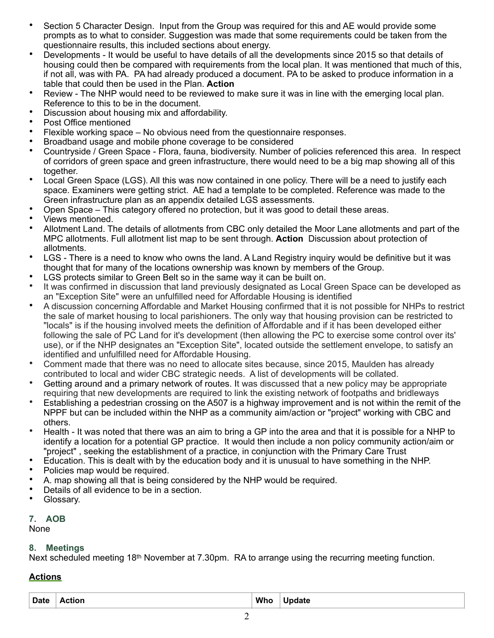- Section 5 Character Design. Input from the Group was required for this and AE would provide some prompts as to what to consider. Suggestion was made that some requirements could be taken from the questionnaire results, this included sections about energy.
- Developments It would be useful to have details of all the developments since 2015 so that details of housing could then be compared with requirements from the local plan. It was mentioned that much of this, if not all, was with PA. PA had already produced a document. PA to be asked to produce information in a table that could then be used in the Plan. **Action**
- Review The NHP would need to be reviewed to make sure it was in line with the emerging local plan. Reference to this to be in the document.
- Discussion about housing mix and affordability.
- Post Office mentioned
- Flexible working space No obvious need from the questionnaire responses.
- Broadband usage and mobile phone coverage to be considered
- Countryside / Green Space Flora, fauna, biodiversity. Number of policies referenced this area. In respect of corridors of green space and green infrastructure, there would need to be a big map showing all of this together.
- Local Green Space (LGS). All this was now contained in one policy. There will be a need to justify each space. Examiners were getting strict. AE had a template to be completed. Reference was made to the Green infrastructure plan as an appendix detailed LGS assessments.
- Open Space This category offered no protection, but it was good to detail these areas.
- Views mentioned.
- Allotment Land. The details of allotments from CBC only detailed the Moor Lane allotments and part of the MPC allotments. Full allotment list map to be sent through. **Action** Discussion about protection of allotments.
- LGS There is a need to know who owns the land. A Land Registry inquiry would be definitive but it was thought that for many of the locations ownership was known by members of the Group.
- LGS protects similar to Green Belt so in the same way it can be built on.
- It was confirmed in discussion that land previously designated as Local Green Space can be developed as an "Exception Site" were an unfulfilled need for Affordable Housing is identified
- A discussion concerning Affordable and Market Housing confirmed that it is not possible for NHPs to restrict the sale of market housing to local parishioners. The only way that housing provision can be restricted to "locals" is if the housing involved meets the definition of Affordable and if it has been developed either following the sale of PC Land for it's development (then allowing the PC to exercise some control over its' use), or if the NHP designates an "Exception Site", located outside the settlement envelope, to satisfy an identified and unfulfilled need for Affordable Housing.
- Comment made that there was no need to allocate sites because, since 2015, Maulden has already contributed to local and wider CBC strategic needs. A list of developments will be collated.
- Getting around and a primary network of routes. It was discussed that a new policy may be appropriate requiring that new developments are required to link the existing network of footpaths and bridleways
- Establishing a pedestrian crossing on the A507 is a highway improvement and is not within the remit of the NPPF but can be included within the NHP as a community aim/action or "project" working with CBC and others.
- Health It was noted that there was an aim to bring a GP into the area and that it is possible for a NHP to identify a location for a potential GP practice. It would then include a non policy community action/aim or "project" , seeking the establishment of a practice, in conjunction with the Primary Care Trust
- Education. This is dealt with by the education body and it is unusual to have something in the NHP.
- Policies map would be required.
- A. map showing all that is being considered by the NHP would be required.
- Details of all evidence to be in a section.
- Glossary.

# **7. AOB**

None

## **8. Meetings**

Next scheduled meeting 18<sup>th</sup> November at 7.30pm. RA to arrange using the recurring meeting function.

## **Actions**